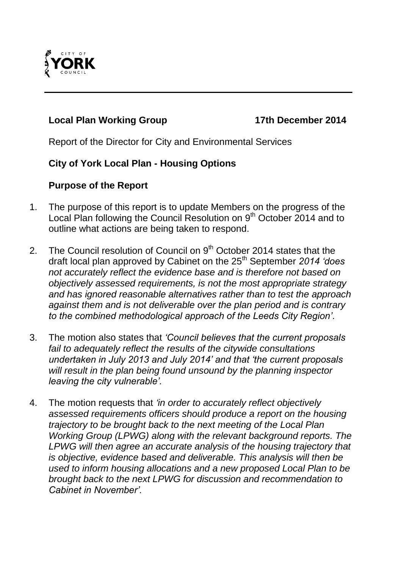

## **Local Plan Working Group 17th December 2014**

Report of the Director for City and Environmental Services

## **City of York Local Plan - Housing Options**

#### **Purpose of the Report**

- 1. The purpose of this report is to update Members on the progress of the Local Plan following the Council Resolution on 9<sup>th</sup> October 2014 and to outline what actions are being taken to respond.
- 2. The Council resolution of Council on 9<sup>th</sup> October 2014 states that the draft local plan approved by Cabinet on the 25th September *2014 'does not accurately reflect the evidence base and is therefore not based on objectively assessed requirements, is not the most appropriate strategy and has ignored reasonable alternatives rather than to test the approach against them and is not deliverable over the plan period and is contrary to the combined methodological approach of the Leeds City Region'*.
- 3. The motion also states that *'Council believes that the current proposals fail to adequately reflect the results of the citywide consultations undertaken in July 2013 and July 2014' and that 'the current proposals will result in the plan being found unsound by the planning inspector leaving the city vulnerable'.*
- 4. The motion requests that *'in order to accurately reflect objectively assessed requirements officers should produce a report on the housing trajectory to be brought back to the next meeting of the Local Plan Working Group (LPWG) along with the relevant background reports. The LPWG will then agree an accurate analysis of the housing trajectory that is objective, evidence based and deliverable. This analysis will then be used to inform housing allocations and a new proposed Local Plan to be brought back to the next LPWG for discussion and recommendation to Cabinet in November'.*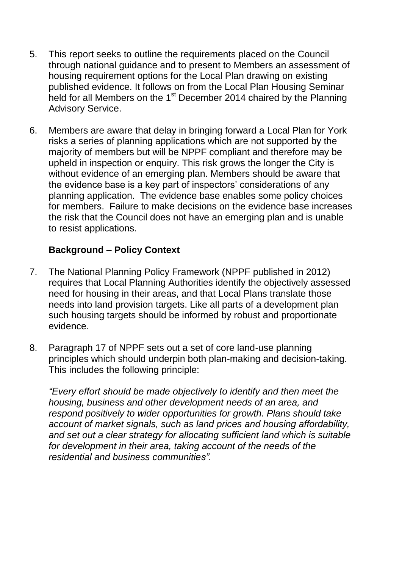- 5. This report seeks to outline the requirements placed on the Council through national guidance and to present to Members an assessment of housing requirement options for the Local Plan drawing on existing published evidence. It follows on from the Local Plan Housing Seminar held for all Members on the  $1<sup>st</sup>$  December 2014 chaired by the Planning Advisory Service.
- 6. Members are aware that delay in bringing forward a Local Plan for York risks a series of planning applications which are not supported by the majority of members but will be NPPF compliant and therefore may be upheld in inspection or enquiry. This risk grows the longer the City is without evidence of an emerging plan. Members should be aware that the evidence base is a key part of inspectors' considerations of any planning application. The evidence base enables some policy choices for members. Failure to make decisions on the evidence base increases the risk that the Council does not have an emerging plan and is unable to resist applications.

## **Background – Policy Context**

- 7. The National Planning Policy Framework (NPPF published in 2012) requires that Local Planning Authorities identify the objectively assessed need for housing in their areas, and that Local Plans translate those needs into land provision targets. Like all parts of a development plan such housing targets should be informed by robust and proportionate evidence.
- 8. Paragraph 17 of NPPF sets out a set of core land-use planning principles which should underpin both plan-making and decision-taking. This includes the following principle:

*"Every effort should be made objectively to identify and then meet the housing, business and other development needs of an area, and respond positively to wider opportunities for growth. Plans should take account of market signals, such as land prices and housing affordability, and set out a clear strategy for allocating sufficient land which is suitable*  for development in their area, taking account of the needs of the *residential and business communities".*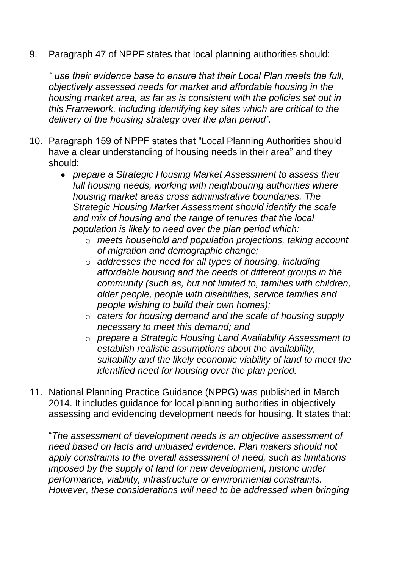9. Paragraph 47 of NPPF states that local planning authorities should:

*" use their evidence base to ensure that their Local Plan meets the full, objectively assessed needs for market and affordable housing in the housing market area, as far as is consistent with the policies set out in this Framework, including identifying key sites which are critical to the delivery of the housing strategy over the plan period".*

- 10. Paragraph 159 of NPPF states that "Local Planning Authorities should have a clear understanding of housing needs in their area" and they should:
	- *prepare a Strategic Housing Market Assessment to assess their full housing needs, working with neighbouring authorities where housing market areas cross administrative boundaries. The Strategic Housing Market Assessment should identify the scale and mix of housing and the range of tenures that the local population is likely to need over the plan period which:*
		- o *meets household and population projections, taking account of migration and demographic change;*
		- o *addresses the need for all types of housing, including affordable housing and the needs of different groups in the community (such as, but not limited to, families with children, older people, people with disabilities, service families and people wishing to build their own homes);*
		- o *caters for housing demand and the scale of housing supply necessary to meet this demand; and*
		- o *prepare a Strategic Housing Land Availability Assessment to establish realistic assumptions about the availability, suitability and the likely economic viability of land to meet the identified need for housing over the plan period.*
- 11. National Planning Practice Guidance (NPPG) was published in March 2014. It includes guidance for local planning authorities in objectively assessing and evidencing development needs for housing. It states that:

"*The assessment of development needs is an objective assessment of need based on facts and unbiased evidence. Plan makers should not apply constraints to the overall assessment of need, such as limitations imposed by the supply of land for new development, historic under performance, viability, infrastructure or environmental constraints. However, these considerations will need to be addressed when bringing*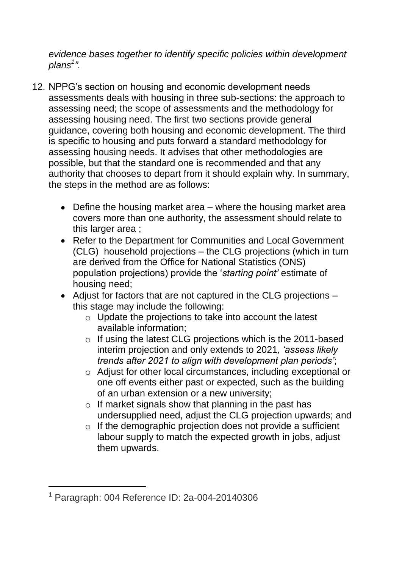*evidence bases together to identify specific policies within development plans<sup>1</sup> ".*

- 12. NPPG's section on housing and economic development needs assessments deals with housing in three sub-sections: the approach to assessing need; the scope of assessments and the methodology for assessing housing need. The first two sections provide general guidance, covering both housing and economic development. The third is specific to housing and puts forward a standard methodology for assessing housing needs. It advises that other methodologies are possible, but that the standard one is recommended and that any authority that chooses to depart from it should explain why. In summary, the steps in the method are as follows:
	- Define the housing market area where the housing market area covers more than one authority, the assessment should relate to this larger area ;
	- Refer to the Department for Communities and Local Government (CLG) household projections – the CLG projections (which in turn are derived from the Office for National Statistics (ONS) population projections) provide the '*starting point'* estimate of housing need;
	- Adjust for factors that are not captured in the CLG projections this stage may include the following:
		- o Update the projections to take into account the latest available information;
		- o If using the latest CLG projections which is the 2011-based interim projection and only extends to 2021*, 'assess likely trends after 2021 to align with development plan periods'*;
		- o Adjust for other local circumstances, including exceptional or one off events either past or expected, such as the building of an urban extension or a new university;
		- o If market signals show that planning in the past has undersupplied need, adjust the CLG projection upwards; and
		- o If the demographic projection does not provide a sufficient labour supply to match the expected growth in jobs, adjust them upwards.

1

<sup>1</sup> Paragraph: 004 Reference ID: 2a-004-20140306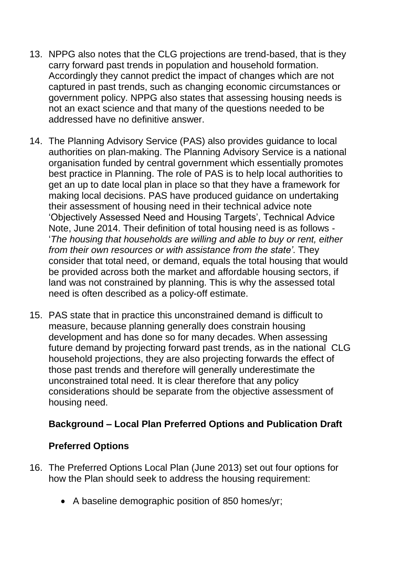- 13. NPPG also notes that the CLG projections are trend-based, that is they carry forward past trends in population and household formation. Accordingly they cannot predict the impact of changes which are not captured in past trends, such as changing economic circumstances or government policy. NPPG also states that assessing housing needs is not an exact science and that many of the questions needed to be addressed have no definitive answer.
- 14. The Planning Advisory Service (PAS) also provides guidance to local authorities on plan-making. The Planning Advisory Service is a national organisation funded by central government which essentially promotes best practice in Planning. The role of PAS is to help local authorities to get an up to date local plan in place so that they have a framework for making local decisions. PAS have produced guidance on undertaking their assessment of housing need in their technical advice note 'Objectively Assessed Need and Housing Targets', Technical Advice Note, June 2014. Their definition of total housing need is as follows - '*The housing that households are willing and able to buy or rent, either from their own resources or with assistance from the state'*. They consider that total need, or demand, equals the total housing that would be provided across both the market and affordable housing sectors, if land was not constrained by planning. This is why the assessed total need is often described as a policy-off estimate.
- 15. PAS state that in practice this unconstrained demand is difficult to measure, because planning generally does constrain housing development and has done so for many decades. When assessing future demand by projecting forward past trends, as in the national CLG household projections, they are also projecting forwards the effect of those past trends and therefore will generally underestimate the unconstrained total need. It is clear therefore that any policy considerations should be separate from the objective assessment of housing need.

#### **Background – Local Plan Preferred Options and Publication Draft**

#### **Preferred Options**

- 16. The Preferred Options Local Plan (June 2013) set out four options for how the Plan should seek to address the housing requirement:
	- A baseline demographic position of 850 homes/yr;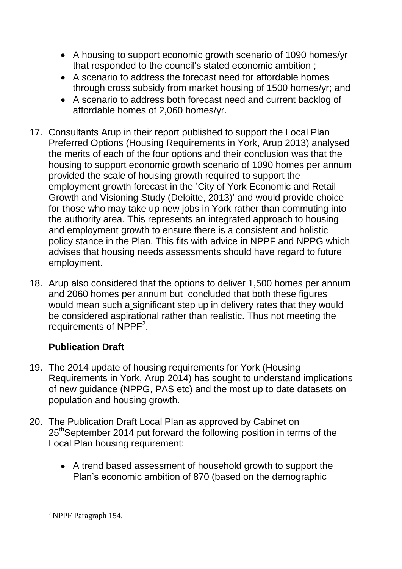- A housing to support economic growth scenario of 1090 homes/yr that responded to the council's stated economic ambition ;
- A scenario to address the forecast need for affordable homes through cross subsidy from market housing of 1500 homes/yr; and
- A scenario to address both forecast need and current backlog of affordable homes of 2,060 homes/yr.
- 17. Consultants Arup in their report published to support the Local Plan Preferred Options (Housing Requirements in York, Arup 2013) analysed the merits of each of the four options and their conclusion was that the housing to support economic growth scenario of 1090 homes per annum provided the scale of housing growth required to support the employment growth forecast in the 'City of York Economic and Retail Growth and Visioning Study (Deloitte, 2013)' and would provide choice for those who may take up new jobs in York rather than commuting into the authority area. This represents an integrated approach to housing and employment growth to ensure there is a consistent and holistic policy stance in the Plan. This fits with advice in NPPF and NPPG which advises that housing needs assessments should have regard to future employment.
- 18. Arup also considered that the options to deliver 1,500 homes per annum and 2060 homes per annum but concluded that both these figures would mean such a significant step up in delivery rates that they would be considered aspirational rather than realistic. Thus not meeting the requirements of NPPF<sup>2</sup>.

# **Publication Draft**

- 19. The 2014 update of housing requirements for York (Housing Requirements in York, Arup 2014) has sought to understand implications of new guidance (NPPG, PAS etc) and the most up to date datasets on population and housing growth.
- 20. The Publication Draft Local Plan as approved by Cabinet on 25<sup>th</sup>September 2014 put forward the following position in terms of the Local Plan housing requirement:
	- A trend based assessment of household growth to support the Plan's economic ambition of 870 (based on the demographic

1

<sup>2</sup> NPPF Paragraph 154.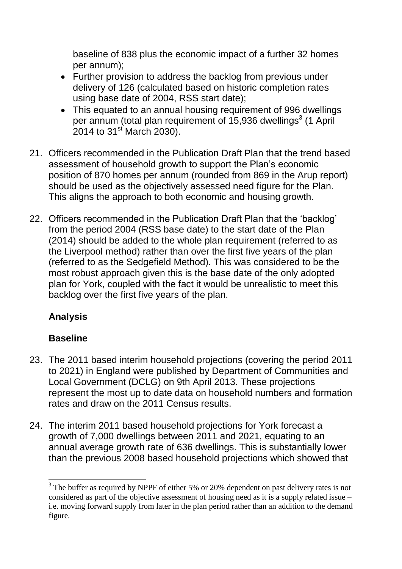baseline of 838 plus the economic impact of a further 32 homes per annum);

- Further provision to address the backlog from previous under delivery of 126 (calculated based on historic completion rates using base date of 2004, RSS start date);
- This equated to an annual housing requirement of 996 dwellings per annum (total plan requirement of 15,936 dwellings $3$  (1 April  $2014$  to  $31^{st}$  March 2030).
- 21. Officers recommended in the Publication Draft Plan that the trend based assessment of household growth to support the Plan's economic position of 870 homes per annum (rounded from 869 in the Arup report) should be used as the objectively assessed need figure for the Plan. This aligns the approach to both economic and housing growth.
- 22. Officers recommended in the Publication Draft Plan that the 'backlog' from the period 2004 (RSS base date) to the start date of the Plan (2014) should be added to the whole plan requirement (referred to as the Liverpool method) rather than over the first five years of the plan (referred to as the Sedgefield Method). This was considered to be the most robust approach given this is the base date of the only adopted plan for York, coupled with the fact it would be unrealistic to meet this backlog over the first five years of the plan.

# **Analysis**

# **Baseline**

<u>.</u>

- 23. The 2011 based interim household projections (covering the period 2011 to 2021) in England were published by Department of Communities and Local Government (DCLG) on 9th April 2013. These projections represent the most up to date data on household numbers and formation rates and draw on the 2011 Census results.
- 24. The interim 2011 based household projections for York forecast a growth of 7,000 dwellings between 2011 and 2021, equating to an annual average growth rate of 636 dwellings. This is substantially lower than the previous 2008 based household projections which showed that

 $3$  The buffer as required by NPPF of either 5% or 20% dependent on past delivery rates is not considered as part of the objective assessment of housing need as it is a supply related issue – i.e. moving forward supply from later in the plan period rather than an addition to the demand figure.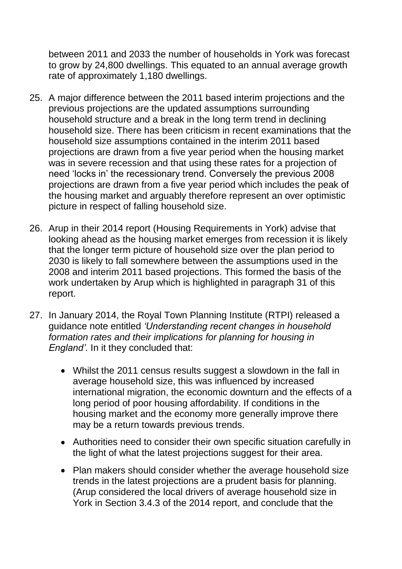between 2011 and 2033 the number of households in York was forecast to grow by 24,800 dwellings. This equated to an annual average growth rate of approximately 1,180 dwellings.

- 25. A major difference between the 2011 based interim projections and the previous projections are the updated assumptions surrounding household structure and a break in the long term trend in declining household size. There has been criticism in recent examinations that the household size assumptions contained in the interim 2011 based projections are drawn from a five year period when the housing market was in severe recession and that using these rates for a projection of need 'locks in' the recessionary trend. Conversely the previous 2008 projections are drawn from a five year period which includes the peak of the housing market and arguably therefore represent an over optimistic picture in respect of falling household size.
- 26. Arup in their 2014 report (Housing Requirements in York) advise that looking ahead as the housing market emerges from recession it is likely that the longer term picture of household size over the plan period to 2030 is likely to fall somewhere between the assumptions used in the 2008 and interim 2011 based projections. This formed the basis of the work undertaken by Arup which is highlighted in paragraph 31 of this report.
- 27. In January 2014, the Royal Town Planning Institute (RTPI) released a guidance note entitled *'Understanding recent changes in household formation rates and their implications for planning for housing in England'*. In it they concluded that:
	- Whilst the 2011 census results suggest a slowdown in the fall in average household size, this was influenced by increased international migration, the economic downturn and the effects of a long period of poor housing affordability. If conditions in the housing market and the economy more generally improve there may be a return towards previous trends.
	- Authorities need to consider their own specific situation carefully in the light of what the latest projections suggest for their area.
	- Plan makers should consider whether the average household size trends in the latest projections are a prudent basis for planning. (Arup considered the local drivers of average household size in York in Section 3.4.3 of the 2014 report, and conclude that the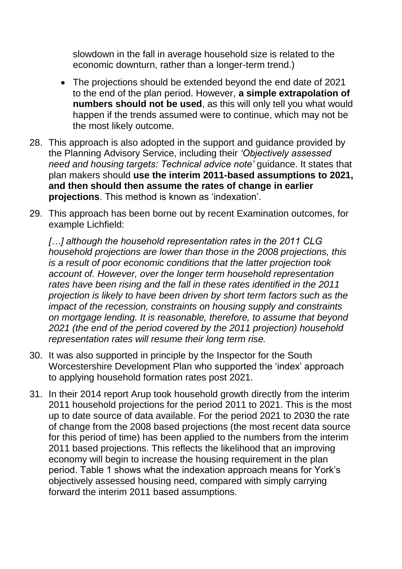slowdown in the fall in average household size is related to the economic downturn, rather than a longer-term trend.)

- The projections should be extended beyond the end date of 2021 to the end of the plan period. However, **a simple extrapolation of numbers should not be used**, as this will only tell you what would happen if the trends assumed were to continue, which may not be the most likely outcome.
- 28. This approach is also adopted in the support and guidance provided by the Planning Advisory Service, including their *'Objectively assessed need and housing targets: Technical advice note'* guidance. It states that plan makers should **use the interim 2011-based assumptions to 2021, and then should then assume the rates of change in earlier projections**. This method is known as 'indexation'.
- 29. This approach has been borne out by recent Examination outcomes, for example Lichfield:

*[…] although the household representation rates in the 2011 CLG household projections are lower than those in the 2008 projections, this is a result of poor economic conditions that the latter projection took account of. However, over the longer term household representation rates have been rising and the fall in these rates identified in the 2011 projection is likely to have been driven by short term factors such as the impact of the recession, constraints on housing supply and constraints on mortgage lending. It is reasonable, therefore, to assume that beyond 2021 (the end of the period covered by the 2011 projection) household representation rates will resume their long term rise.*

- 30. It was also supported in principle by the Inspector for the South Worcestershire Development Plan who supported the 'index' approach to applying household formation rates post 2021.
- 31. In their 2014 report Arup took household growth directly from the interim 2011 household projections for the period 2011 to 2021. This is the most up to date source of data available. For the period 2021 to 2030 the rate of change from the 2008 based projections (the most recent data source for this period of time) has been applied to the numbers from the interim 2011 based projections. This reflects the likelihood that an improving economy will begin to increase the housing requirement in the plan period. Table 1 shows what the indexation approach means for York's objectively assessed housing need, compared with simply carrying forward the interim 2011 based assumptions.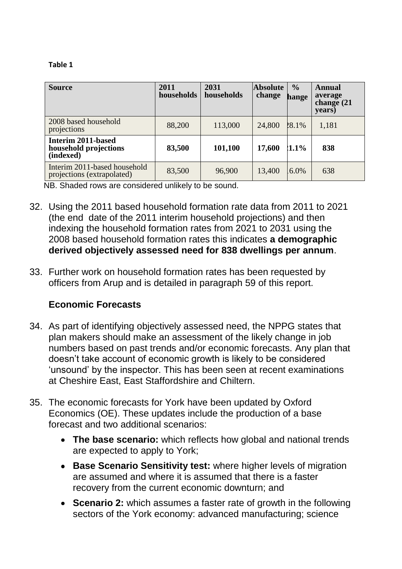#### **Table 1**

| <b>Source</b>                                              | 2011<br>households | 2031<br>households | <b>Absolute</b><br>change | $\frac{0}{0}$<br>hange | <b>Annual</b><br>average<br>change (21<br>years) |
|------------------------------------------------------------|--------------------|--------------------|---------------------------|------------------------|--------------------------------------------------|
| 2008 based household<br>projections                        | 88,200             | 113,000            | 24,800                    | 28.1%                  | 1,181                                            |
| Interim 2011-based<br>household projections<br>(indexed)   | 83,500             | 101,100            | 17,600                    | $1.1\%$                | 838                                              |
| Interim 2011-based household<br>projections (extrapolated) | 83,500             | 96,900             | 13,400                    | 6.0%                   | 638                                              |

NB. Shaded rows are considered unlikely to be sound.

- 32. Using the 2011 based household formation rate data from 2011 to 2021 (the end date of the 2011 interim household projections) and then indexing the household formation rates from 2021 to 2031 using the 2008 based household formation rates this indicates **a demographic derived objectively assessed need for 838 dwellings per annum**.
- 33. Further work on household formation rates has been requested by officers from Arup and is detailed in paragraph 59 of this report.

#### **Economic Forecasts**

- 34. As part of identifying objectively assessed need, the NPPG states that plan makers should make an assessment of the likely change in job numbers based on past trends and/or economic forecasts. Any plan that doesn't take account of economic growth is likely to be considered 'unsound' by the inspector. This has been seen at recent examinations at Cheshire East, East Staffordshire and Chiltern.
- 35. The economic forecasts for York have been updated by Oxford Economics (OE). These updates include the production of a base forecast and two additional scenarios:
	- **The base scenario:** which reflects how global and national trends are expected to apply to York;
	- **Base Scenario Sensitivity test:** where higher levels of migration are assumed and where it is assumed that there is a faster recovery from the current economic downturn; and
	- **Scenario 2:** which assumes a faster rate of growth in the following sectors of the York economy: advanced manufacturing; science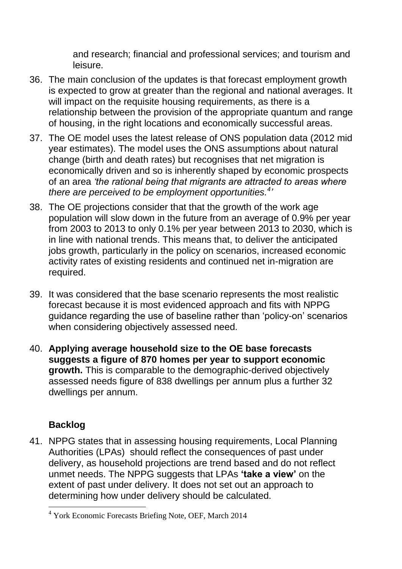and research; financial and professional services; and tourism and leisure.

- 36. The main conclusion of the updates is that forecast employment growth is expected to grow at greater than the regional and national averages. It will impact on the requisite housing requirements, as there is a relationship between the provision of the appropriate quantum and range of housing, in the right locations and economically successful areas.
- 37. The OE model uses the latest release of ONS population data (2012 mid year estimates). The model uses the ONS assumptions about natural change (birth and death rates) but recognises that net migration is economically driven and so is inherently shaped by economic prospects of an area *'the rational being that migrants are attracted to areas where there are perceived to be employment opportunities.<sup>4</sup> '*
- 38. The OE projections consider that that the growth of the work age population will slow down in the future from an average of 0.9% per year from 2003 to 2013 to only 0.1% per year between 2013 to 2030, which is in line with national trends. This means that, to deliver the anticipated jobs growth, particularly in the policy on scenarios, increased economic activity rates of existing residents and continued net in-migration are required.
- 39. It was considered that the base scenario represents the most realistic forecast because it is most evidenced approach and fits with NPPG guidance regarding the use of baseline rather than 'policy-on' scenarios when considering objectively assessed need.
- 40. **Applying average household size to the OE base forecasts suggests a figure of 870 homes per year to support economic growth.** This is comparable to the demographic-derived objectively assessed needs figure of 838 dwellings per annum plus a further 32 dwellings per annum.

# **Backlog**

1

41. NPPG states that in assessing housing requirements, Local Planning Authorities (LPAs) should reflect the consequences of past under delivery, as household projections are trend based and do not reflect unmet needs. The NPPG suggests that LPAs **'take a view'** on the extent of past under delivery. It does not set out an approach to determining how under delivery should be calculated.

<sup>4</sup> York Economic Forecasts Briefing Note, OEF, March 2014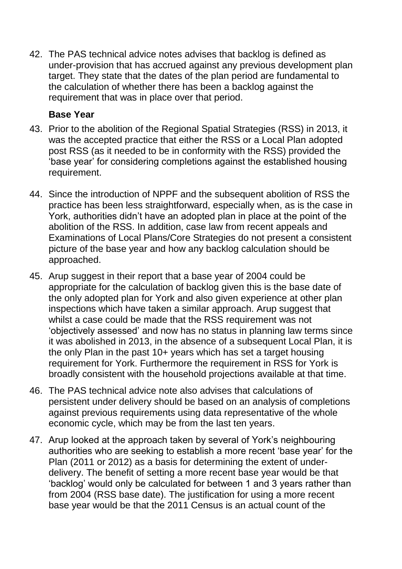42. The PAS technical advice notes advises that backlog is defined as under-provision that has accrued against any previous development plan target. They state that the dates of the plan period are fundamental to the calculation of whether there has been a backlog against the requirement that was in place over that period.

## **Base Year**

- 43. Prior to the abolition of the Regional Spatial Strategies (RSS) in 2013, it was the accepted practice that either the RSS or a Local Plan adopted post RSS (as it needed to be in conformity with the RSS) provided the 'base year' for considering completions against the established housing requirement.
- 44. Since the introduction of NPPF and the subsequent abolition of RSS the practice has been less straightforward, especially when, as is the case in York, authorities didn't have an adopted plan in place at the point of the abolition of the RSS. In addition, case law from recent appeals and Examinations of Local Plans/Core Strategies do not present a consistent picture of the base year and how any backlog calculation should be approached.
- 45. Arup suggest in their report that a base year of 2004 could be appropriate for the calculation of backlog given this is the base date of the only adopted plan for York and also given experience at other plan inspections which have taken a similar approach. Arup suggest that whilst a case could be made that the RSS requirement was not 'objectively assessed' and now has no status in planning law terms since it was abolished in 2013, in the absence of a subsequent Local Plan, it is the only Plan in the past 10+ years which has set a target housing requirement for York. Furthermore the requirement in RSS for York is broadly consistent with the household projections available at that time.
- 46. The PAS technical advice note also advises that calculations of persistent under delivery should be based on an analysis of completions against previous requirements using data representative of the whole economic cycle, which may be from the last ten years.
- 47. Arup looked at the approach taken by several of York's neighbouring authorities who are seeking to establish a more recent 'base year' for the Plan (2011 or 2012) as a basis for determining the extent of underdelivery. The benefit of setting a more recent base year would be that 'backlog' would only be calculated for between 1 and 3 years rather than from 2004 (RSS base date). The justification for using a more recent base year would be that the 2011 Census is an actual count of the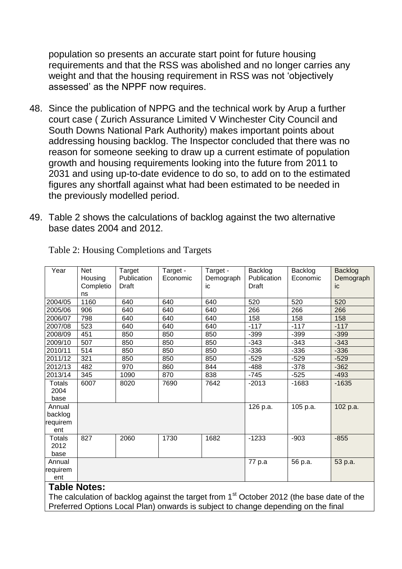population so presents an accurate start point for future housing requirements and that the RSS was abolished and no longer carries any weight and that the housing requirement in RSS was not 'objectively assessed' as the NPPF now requires.

- 48. Since the publication of NPPG and the technical work by Arup a further court case ( Zurich Assurance Limited V Winchester City Council and South Downs National Park Authority) makes important points about addressing housing backlog. The Inspector concluded that there was no reason for someone seeking to draw up a current estimate of population growth and housing requirements looking into the future from 2011 to 2031 and using up-to-date evidence to do so, to add on to the estimated figures any shortfall against what had been estimated to be needed in the previously modelled period.
- 49. Table 2 shows the calculations of backlog against the two alternative base dates 2004 and 2012.

| Year                                 | <b>Net</b><br>Housing<br>Completio<br>ns | Target<br>Publication<br>Draft | Target -<br>Economic | Target -<br>Demograph<br>ic | Backlog<br>Publication<br>Draft | Backlog<br>Economic | <b>Backlog</b><br>Demograph<br>ic |
|--------------------------------------|------------------------------------------|--------------------------------|----------------------|-----------------------------|---------------------------------|---------------------|-----------------------------------|
| 2004/05                              | 1160                                     | 640                            | 640                  | 640                         | 520                             | 520                 | 520                               |
| 2005/06                              | 906                                      | 640                            | 640                  | 640                         | 266                             | 266                 | 266                               |
| 2006/07                              | 798                                      | 640                            | 640                  | 640                         | 158                             | 158                 | 158                               |
| 2007/08                              | 523                                      | 640                            | 640                  | 640                         | $-117$                          | $-117$              | $-117$                            |
| 2008/09                              | 451                                      | 850                            | 850                  | 850                         | $-399$                          | $-399$              | $-399$                            |
| 2009/10                              | 507                                      | 850                            | 850                  | 850                         | $-343$                          | $-343$              | $-343$                            |
| 2010/11                              | 514                                      | 850                            | 850                  | 850                         | $-336$                          | $-336$              | $-336$                            |
| 2011/12                              | 321                                      | 850                            | 850                  | 850                         | $-529$                          | $-529$              | $-529$                            |
| 2012/13                              | 482                                      | 970                            | 860                  | 844                         | $-488$                          | $-378$              | $-362$                            |
| 2013/14                              | 345                                      | 1090                           | 870                  | 838                         | $-745$                          | $-525$              | $-493$                            |
| Totals<br>2004<br>base               | 6007                                     | 8020                           | 7690                 | 7642                        | $-2013$                         | $-1683$             | $-1635$                           |
| Annual<br>backlog<br>requirem<br>ent |                                          |                                |                      |                             | 126 p.a.                        | 105 p.a.            | 102 p.a.                          |
| Totals<br>2012<br>base               | 827                                      | 2060                           | 1730                 | 1682                        | $-1233$                         | $-903$              | $-855$                            |
| Annual<br>requirem<br>ent            |                                          |                                |                      |                             | 77 p.a                          | 56 p.a.             | 53 p.a.                           |
| <b>Table Notes:</b><br>$et =$        |                                          |                                |                      |                             |                                 |                     |                                   |

Table 2: Housing Completions and Targets

The calculation of backlog against the target from 1<sup>st</sup> October 2012 (the base date of the Preferred Options Local Plan) onwards is subject to change depending on the final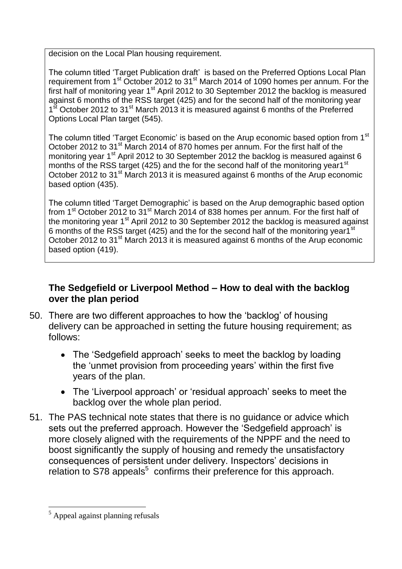decision on the Local Plan housing requirement.

The column titled 'Target Publication draft' is based on the Preferred Options Local Plan requirement from 1<sup>st</sup> October 2012 to 31<sup>st</sup> March 2014 of 1090 homes per annum. For the first half of monitoring year 1<sup>st</sup> April 2012 to 30 September 2012 the backlog is measured against 6 months of the RSS target (425) and for the second half of the monitoring year 1<sup>st</sup> October 2012 to 31<sup>st</sup> March 2013 it is measured against 6 months of the Preferred Options Local Plan target (545).

The column titled 'Target Economic' is based on the Arup economic based option from 1<sup>st</sup> October 2012 to 31<sup>st</sup> March 2014 of 870 homes per annum. For the first half of the monitoring year 1<sup>st</sup> April 2012 to 30 September 2012 the backlog is measured against 6 months of the RSS target (425) and the for the second half of the monitoring year1<sup>st</sup> October 2012 to 31<sup>st</sup> March 2013 it is measured against 6 months of the Arup economic based option (435).

The column titled 'Target Demographic' is based on the Arup demographic based option from 1<sup>st</sup> October 2012 to 31<sup>st</sup> March 2014 of 838 homes per annum. For the first half of the monitoring year 1<sup>st</sup> April 2012 to 30 September 2012 the backlog is measured against 6 months of the RSS target (425) and the for the second half of the monitoring year1<sup>st</sup> October 2012 to 31<sup>st</sup> March 2013 it is measured against 6 months of the Arup economic based option (419).

### **The Sedgefield or Liverpool Method – How to deal with the backlog over the plan period**

- 50. There are two different approaches to how the 'backlog' of housing delivery can be approached in setting the future housing requirement; as follows:
	- The 'Sedgefield approach' seeks to meet the backlog by loading the 'unmet provision from proceeding years' within the first five years of the plan.
	- The 'Liverpool approach' or 'residual approach' seeks to meet the backlog over the whole plan period.
- 51. The PAS technical note states that there is no guidance or advice which sets out the preferred approach. However the 'Sedgefield approach' is more closely aligned with the requirements of the NPPF and the need to boost significantly the supply of housing and remedy the unsatisfactory consequences of persistent under delivery. Inspectors' decisions in relation to S78 appeals<sup>5</sup> confirms their preference for this approach.

<sup>1</sup> <sup>5</sup> Appeal against planning refusals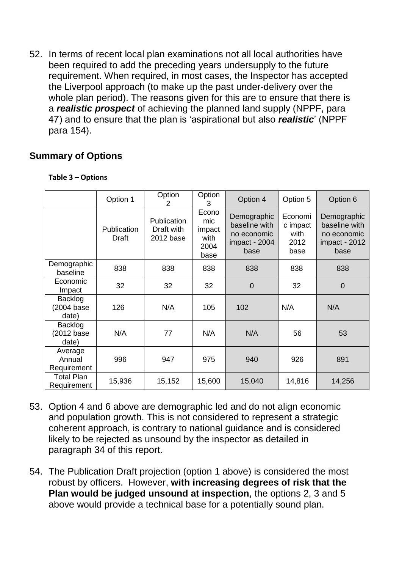52. In terms of recent local plan examinations not all local authorities have been required to add the preceding years undersupply to the future requirement. When required, in most cases, the Inspector has accepted the Liverpool approach (to make up the past under-delivery over the whole plan period). The reasons given for this are to ensure that there is a *realistic prospect* of achieving the planned land supply (NPPF, para 47) and to ensure that the plan is 'aspirational but also *realistic*' (NPPF para 154).

# **Summary of Options**

|                                  | Option 1             | Option<br>2                                   | Option<br>3                                    | Option 4                                                             | Option 5                                    | Option 6                                                             |
|----------------------------------|----------------------|-----------------------------------------------|------------------------------------------------|----------------------------------------------------------------------|---------------------------------------------|----------------------------------------------------------------------|
|                                  | Publication<br>Draft | <b>Publication</b><br>Draft with<br>2012 base | Econo<br>mic<br>impact<br>with<br>2004<br>base | Demographic<br>baseline with<br>no economic<br>impact - 2004<br>base | Economi<br>c impact<br>with<br>2012<br>base | Demographic<br>baseline with<br>no economic<br>impact - 2012<br>base |
| Demographic<br>baseline          | 838                  | 838                                           | 838                                            | 838                                                                  | 838                                         | 838                                                                  |
| Economic<br>Impact               | 32                   | 32                                            | 32                                             | $\overline{0}$                                                       | 32                                          | $\mathbf 0$                                                          |
| Backlog<br>(2004 base<br>date)   | 126                  | N/A                                           | 105                                            | 102                                                                  | N/A                                         | N/A                                                                  |
| Backlog<br>(2012 base<br>date)   | N/A                  | 77                                            | N/A                                            | N/A                                                                  | 56                                          | 53                                                                   |
| Average<br>Annual<br>Requirement | 996                  | 947                                           | 975                                            | 940                                                                  | 926                                         | 891                                                                  |
| <b>Total Plan</b><br>Requirement | 15,936               | 15,152                                        | 15,600                                         | 15,040                                                               | 14,816                                      | 14,256                                                               |

#### **Table 3 – Options**

- 53. Option 4 and 6 above are demographic led and do not align economic and population growth. This is not considered to represent a strategic coherent approach, is contrary to national guidance and is considered likely to be rejected as unsound by the inspector as detailed in paragraph 34 of this report.
- 54. The Publication Draft projection (option 1 above) is considered the most robust by officers. However, **with increasing degrees of risk that the Plan would be judged unsound at inspection**, the options 2, 3 and 5 above would provide a technical base for a potentially sound plan.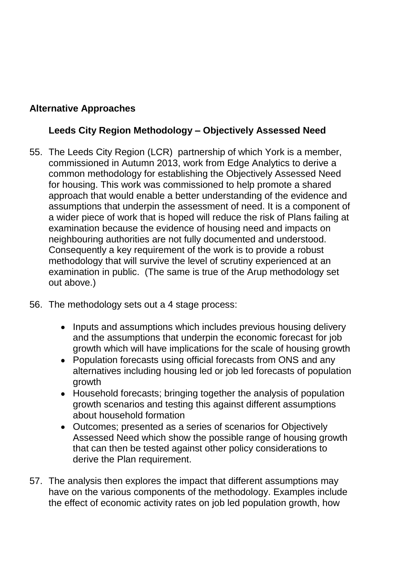# **Alternative Approaches**

# **Leeds City Region Methodology – Objectively Assessed Need**

- 55. The Leeds City Region (LCR) partnership of which York is a member, commissioned in Autumn 2013, work from Edge Analytics to derive a common methodology for establishing the Objectively Assessed Need for housing. This work was commissioned to help promote a shared approach that would enable a better understanding of the evidence and assumptions that underpin the assessment of need. It is a component of a wider piece of work that is hoped will reduce the risk of Plans failing at examination because the evidence of housing need and impacts on neighbouring authorities are not fully documented and understood. Consequently a key requirement of the work is to provide a robust methodology that will survive the level of scrutiny experienced at an examination in public. (The same is true of the Arup methodology set out above.)
- 56. The methodology sets out a 4 stage process:
	- Inputs and assumptions which includes previous housing delivery and the assumptions that underpin the economic forecast for job growth which will have implications for the scale of housing growth
	- Population forecasts using official forecasts from ONS and any alternatives including housing led or job led forecasts of population growth
	- Household forecasts; bringing together the analysis of population growth scenarios and testing this against different assumptions about household formation
	- Outcomes; presented as a series of scenarios for Objectively Assessed Need which show the possible range of housing growth that can then be tested against other policy considerations to derive the Plan requirement.
- 57. The analysis then explores the impact that different assumptions may have on the various components of the methodology. Examples include the effect of economic activity rates on job led population growth, how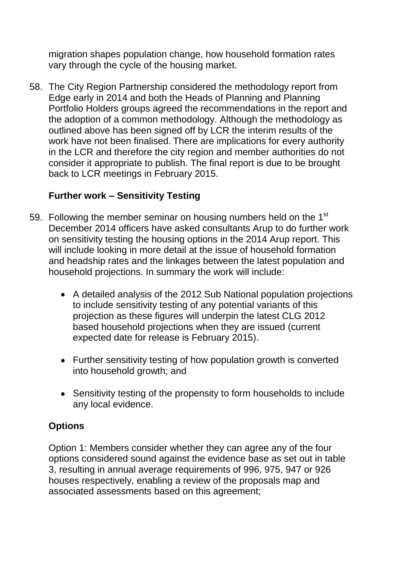migration shapes population change, how household formation rates vary through the cycle of the housing market.

58. The City Region Partnership considered the methodology report from Edge early in 2014 and both the Heads of Planning and Planning Portfolio Holders groups agreed the recommendations in the report and the adoption of a common methodology. Although the methodology as outlined above has been signed off by LCR the interim results of the work have not been finalised. There are implications for every authority in the LCR and therefore the city region and member authorities do not consider it appropriate to publish. The final report is due to be brought back to LCR meetings in February 2015.

# **Further work – Sensitivity Testing**

- 59. Following the member seminar on housing numbers held on the 1<sup>st</sup> December 2014 officers have asked consultants Arup to do further work on sensitivity testing the housing options in the 2014 Arup report. This will include looking in more detail at the issue of household formation and headship rates and the linkages between the latest population and household projections. In summary the work will include:
	- A detailed analysis of the 2012 Sub National population projections to include sensitivity testing of any potential variants of this projection as these figures will underpin the latest CLG 2012 based household projections when they are issued (current expected date for release is February 2015).
	- Further sensitivity testing of how population growth is converted into household growth; and
	- Sensitivity testing of the propensity to form households to include any local evidence.

# **Options**

Option 1: Members consider whether they can agree any of the four options considered sound against the evidence base as set out in table 3, resulting in annual average requirements of 996, 975, 947 or 926 houses respectively, enabling a review of the proposals map and associated assessments based on this agreement;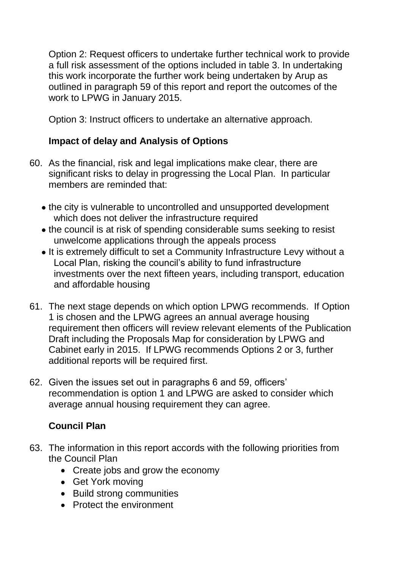Option 2: Request officers to undertake further technical work to provide a full risk assessment of the options included in table 3. In undertaking this work incorporate the further work being undertaken by Arup as outlined in paragraph 59 of this report and report the outcomes of the work to LPWG in January 2015.

Option 3: Instruct officers to undertake an alternative approach.

# **Impact of delay and Analysis of Options**

- 60. As the financial, risk and legal implications make clear, there are significant risks to delay in progressing the Local Plan. In particular members are reminded that:
	- the city is vulnerable to uncontrolled and unsupported development which does not deliver the infrastructure required
	- the council is at risk of spending considerable sums seeking to resist unwelcome applications through the appeals process
	- It is extremely difficult to set a Community Infrastructure Levy without a Local Plan, risking the council's ability to fund infrastructure investments over the next fifteen years, including transport, education and affordable housing
- 61. The next stage depends on which option LPWG recommends. If Option 1 is chosen and the LPWG agrees an annual average housing requirement then officers will review relevant elements of the Publication Draft including the Proposals Map for consideration by LPWG and Cabinet early in 2015. If LPWG recommends Options 2 or 3, further additional reports will be required first.
- 62. Given the issues set out in paragraphs 6 and 59, officers' recommendation is option 1 and LPWG are asked to consider which average annual housing requirement they can agree.

# **Council Plan**

- 63. The information in this report accords with the following priorities from the Council Plan
	- Create jobs and grow the economy
	- Get York moving
	- Build strong communities
	- Protect the environment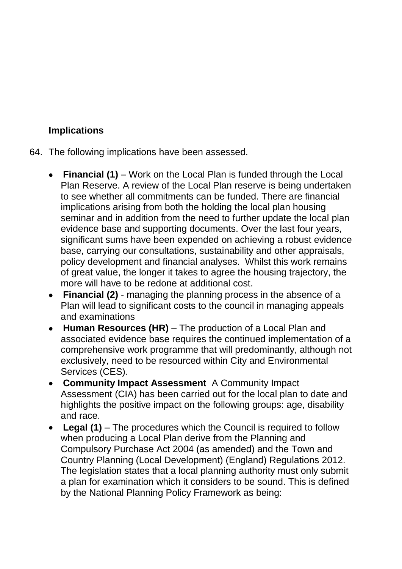# **Implications**

- 64. The following implications have been assessed.
	- **Financial (1)** Work on the Local Plan is funded through the Local Plan Reserve. A review of the Local Plan reserve is being undertaken to see whether all commitments can be funded. There are financial implications arising from both the holding the local plan housing seminar and in addition from the need to further update the local plan evidence base and supporting documents. Over the last four years, significant sums have been expended on achieving a robust evidence base, carrying our consultations, sustainability and other appraisals, policy development and financial analyses. Whilst this work remains of great value, the longer it takes to agree the housing trajectory, the more will have to be redone at additional cost.
	- **Financial (2)** managing the planning process in the absence of a Plan will lead to significant costs to the council in managing appeals and examinations
	- **Human Resources (HR)**  The production of a Local Plan and associated evidence base requires the continued implementation of a comprehensive work programme that will predominantly, although not exclusively, need to be resourced within City and Environmental Services (CES).
	- **Community Impact Assessment** A Community Impact Assessment (CIA) has been carried out for the local plan to date and highlights the positive impact on the following groups: age, disability and race.
	- **Legal (1)** *–* The procedures which the Council is required to follow when producing a Local Plan derive from the Planning and Compulsory Purchase Act 2004 (as amended) and the Town and Country Planning (Local Development) (England) Regulations 2012. The legislation states that a local planning authority must only submit a plan for examination which it considers to be sound. This is defined by the National Planning Policy Framework as being: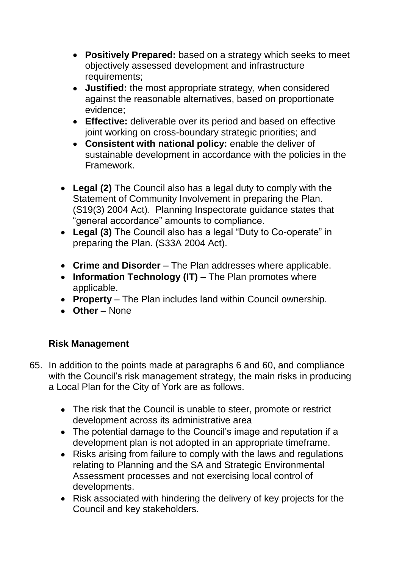- **Positively Prepared:** based on a strategy which seeks to meet objectively assessed development and infrastructure requirements;
- **Justified:** the most appropriate strategy, when considered against the reasonable alternatives, based on proportionate evidence;
- **Effective:** deliverable over its period and based on effective joint working on cross-boundary strategic priorities; and
- **Consistent with national policy:** enable the deliver of sustainable development in accordance with the policies in the Framework.
- **Legal (2)** The Council also has a legal duty to comply with the Statement of Community Involvement in preparing the Plan. (S19(3) 2004 Act). Planning Inspectorate guidance states that "general accordance" amounts to compliance.
- **Legal (3)** The Council also has a legal "Duty to Co-operate" in preparing the Plan. (S33A 2004 Act).
- **Crime and Disorder**  The Plan addresses where applicable.
- Information Technology (IT) The Plan promotes where applicable.
- **Property**  The Plan includes land within Council ownership.
- **Other –** None

# **Risk Management**

- 65. In addition to the points made at paragraphs 6 and 60, and compliance with the Council's risk management strategy, the main risks in producing a Local Plan for the City of York are as follows.
	- The risk that the Council is unable to steer, promote or restrict development across its administrative area
	- The potential damage to the Council's image and reputation if a development plan is not adopted in an appropriate timeframe.
	- Risks arising from failure to comply with the laws and regulations relating to Planning and the SA and Strategic Environmental Assessment processes and not exercising local control of developments.
	- Risk associated with hindering the delivery of key projects for the Council and key stakeholders.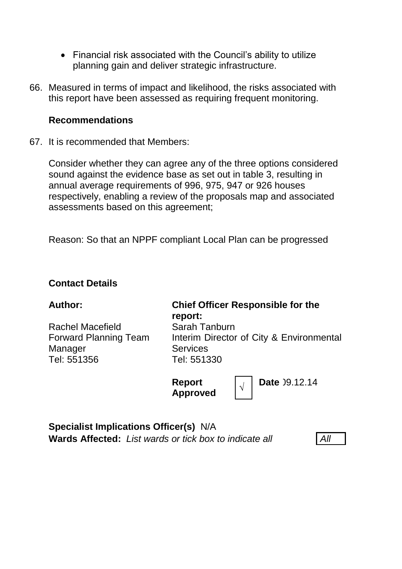- Financial risk associated with the Council's ability to utilize planning gain and deliver strategic infrastructure.
- 66. Measured in terms of impact and likelihood, the risks associated with this report have been assessed as requiring frequent monitoring.

#### **Recommendations**

67. It is recommended that Members:

Consider whether they can agree any of the three options considered sound against the evidence base as set out in table 3, resulting in annual average requirements of 996, 975, 947 or 926 houses respectively, enabling a review of the proposals map and associated assessments based on this agreement;

Reason: So that an NPPF compliant Local Plan can be progressed

#### **Contact Details**

Rachel Macefield Forward Planning Team Manager Tel: 551356

#### **Author: Chief Officer Responsible for the report:** Sarah Tanburn Interim Director of City & Environmental **Services** Tel: 551330

**Report Approved** *<sup>√</sup>* **Date** 19.12.14

**Specialist Implications Officer(s)** N/A **Wards Affected:** *List wards or tick box to indicate all All*